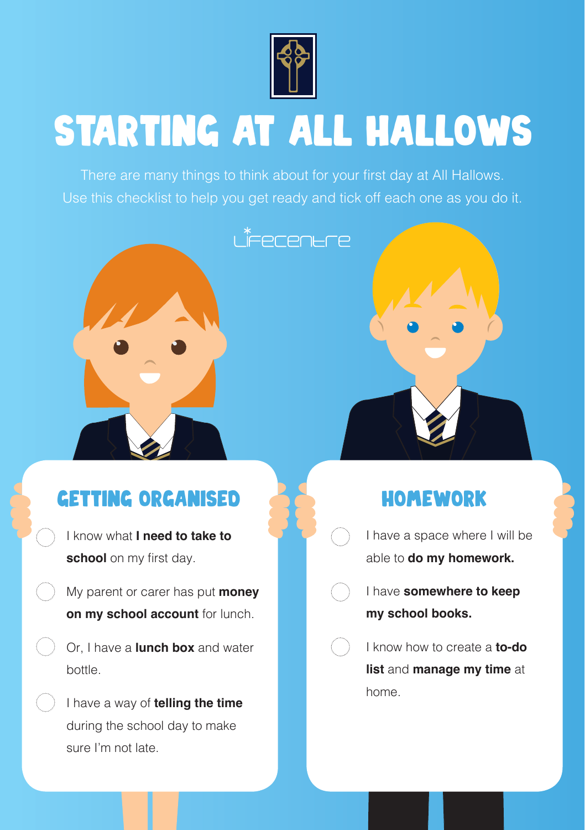

# STARTING AT ALL HALLOWS

There are many things to think about for your first day at All Hallows. Use this checklist to help you get ready and tick off each one as you do it.



## GETTING ORGANISED **AT A HOMEWORK**

- I know what **I need to take to school** on my first day.
- My parent or carer has put **money on my school account** for lunch.
	- Or, I have a **lunch box** and water bottle.
- I have a way of **telling the time**  during the school day to make sure I'm not late.

- I have a space where I will be able to **do my homework.**
- I have **somewhere to keep my school books.**
- I know how to create a **to-do list** and **manage my time** at home.